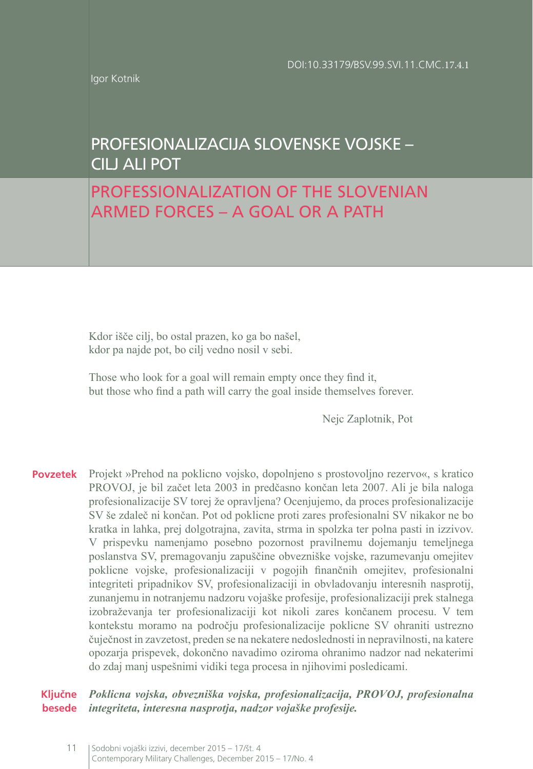Igor Kotnik

# PROFESIONALIZACIJA SLOVENSKE VOJSKE – CILJ ALI POT

# PROFESSIONALIZATION OF THE SLOVENIAN ARMED FORCES – A GOAL OR A PATH

Kdor išče cilj, bo ostal prazen, ko ga bo našel, kdor pa najde pot, bo cilj vedno nosil v sebi.

Those who look for a goal will remain empty once they find it, but those who find a path will carry the goal inside themselves forever.

Nejc Zaplotnik, Pot

**Povzetek** Projekt »Prehod na poklicno vojsko, dopolnjeno s prostovoljno rezervo«, s kratico PROVOJ, je bil začet leta 2003 in predčasno končan leta 2007. Ali je bila naloga profesionalizacije SV torej že opravljena? Ocenjujemo, da proces profesionalizacije SV še zdaleč ni končan. Pot od poklicne proti zares profesionalni SV nikakor ne bo kratka in lahka, prej dolgotrajna, zavita, strma in spolzka ter polna pasti in izzivov. V prispevku namenjamo posebno pozornost pravilnemu dojemanju temeljnega poslanstva SV, premagovanju zapuščine obvezniške vojske, razumevanju omejitev poklicne vojske, profesionalizaciji v pogojih finančnih omejitev, profesionalni integriteti pripadnikov SV, profesionalizaciji in obvladovanju interesnih nasprotij, zunanjemu in notranjemu nadzoru vojaške profesije, profesionalizaciji prek stalnega izobraževanja ter profesionalizaciji kot nikoli zares končanem procesu. V tem kontekstu moramo na področju profesionalizacije poklicne SV ohraniti ustrezno čuječnost in zavzetost, preden se na nekatere nedoslednosti in nepravilnosti, na katere opozarja prispevek, dokončno navadimo oziroma ohranimo nadzor nad nekaterimi do zdaj manj uspešnimi vidiki tega procesa in njihovimi posledicami.

**Ključne besede** *Poklicna vojska, obvezniška vojska, profesionalizacija, PROVOJ, profesionalna integriteta, interesna nasprotja, nadzor vojaške profesije.*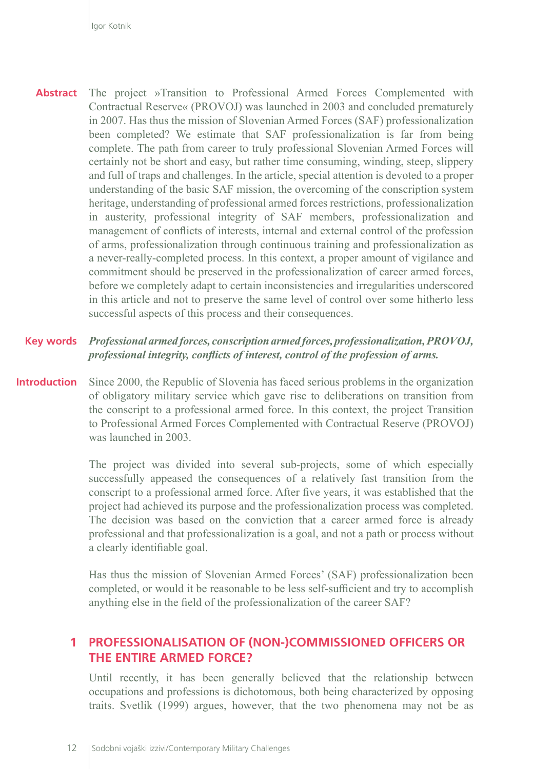**Abstract** The project »Transition to Professional Armed Forces Complemented with Contractual Reserve« (PROVOJ) was launched in 2003 and concluded prematurely in 2007. Has thus the mission of Slovenian Armed Forces (SAF) professionalization been completed? We estimate that SAF professionalization is far from being complete. The path from career to truly professional Slovenian Armed Forces will certainly not be short and easy, but rather time consuming, winding, steep, slippery and full of traps and challenges. In the article, special attention is devoted to a proper understanding of the basic SAF mission, the overcoming of the conscription system heritage, understanding of professional armed forces restrictions, professionalization in austerity, professional integrity of SAF members, professionalization and management of conflicts of interests, internal and external control of the profession of arms, professionalization through continuous training and professionalization as a never-really-completed process. In this context, a proper amount of vigilance and commitment should be preserved in the professionalization of career armed forces, before we completely adapt to certain inconsistencies and irregularities underscored in this article and not to preserve the same level of control over some hitherto less successful aspects of this process and their consequences.

#### **Key words** *Professional armed forces, conscription armed forces, professionalization, PROVOJ, professional integrity, conflicts of interest, control of the profession of arms.*

**Introduction** Since 2000, the Republic of Slovenia has faced serious problems in the organization of obligatory military service which gave rise to deliberations on transition from the conscript to a professional armed force. In this context, the project Transition to Professional Armed Forces Complemented with Contractual Reserve (PROVOJ) was launched in 2003.

> The project was divided into several sub-projects, some of which especially successfully appeased the consequences of a relatively fast transition from the conscript to a professional armed force. After five years, it was established that the project had achieved its purpose and the professionalization process was completed. The decision was based on the conviction that a career armed force is already professional and that professionalization is a goal, and not a path or process without a clearly identifiable goal.

> Has thus the mission of Slovenian Armed Forces' (SAF) professionalization been completed, or would it be reasonable to be less self-sufficient and try to accomplish anything else in the field of the professionalization of the career SAF?

#### **1 PROFESSIONALISATION OF (NON-)COMMISSIONED OFFICERS OR THE ENTIRE ARMED FORCE?**

Until recently, it has been generally believed that the relationship between occupations and professions is dichotomous, both being characterized by opposing traits. Svetlik (1999) argues, however, that the two phenomena may not be as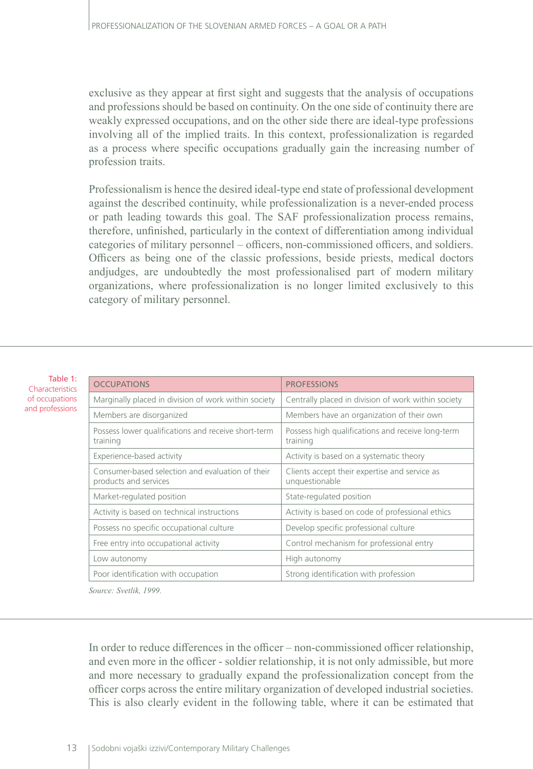exclusive as they appear at first sight and suggests that the analysis of occupations and professions should be based on continuity. On the one side of continuity there are weakly expressed occupations, and on the other side there are ideal-type professions involving all of the implied traits. In this context, professionalization is regarded as a process where specific occupations gradually gain the increasing number of profession traits.

Professionalism is hence the desired ideal-type end state of professional development against the described continuity, while professionalization is a never-ended process or path leading towards this goal. The SAF professionalization process remains, therefore, unfinished, particularly in the context of differentiation among individual categories of military personnel – officers, non-commissioned officers, and soldiers. Officers as being one of the classic professions, beside priests, medical doctors andjudges, are undoubtedly the most professionalised part of modern military organizations, where professionalization is no longer limited exclusively to this category of military personnel.

| Table 1:<br>Characteristics       | <b>OCCUPATIONS</b>                                                        | <b>PROFESSIONS</b>                                              |
|-----------------------------------|---------------------------------------------------------------------------|-----------------------------------------------------------------|
| of occupations<br>and professions | Marginally placed in division of work within society                      | Centrally placed in division of work within society             |
|                                   | Members are disorganized                                                  | Members have an organization of their own                       |
|                                   | Possess lower qualifications and receive short-term<br>training           | Possess high qualifications and receive long-term<br>training   |
|                                   | Experience-based activity                                                 | Activity is based on a systematic theory                        |
|                                   | Consumer-based selection and evaluation of their<br>products and services | Clients accept their expertise and service as<br>unquestionable |
|                                   | Market-regulated position                                                 | State-regulated position                                        |
|                                   | Activity is based on technical instructions                               | Activity is based on code of professional ethics                |
|                                   | Possess no specific occupational culture                                  | Develop specific professional culture                           |
|                                   | Free entry into occupational activity                                     | Control mechanism for professional entry                        |
|                                   | Low autonomy                                                              | High autonomy                                                   |
|                                   | Poor identification with occupation                                       | Strong identification with profession                           |

*Source: Svetlik, 1999.*

In order to reduce differences in the officer – non-commissioned officer relationship, and even more in the officer - soldier relationship, it is not only admissible, but more and more necessary to gradually expand the professionalization concept from the officer corps across the entire military organization of developed industrial societies. This is also clearly evident in the following table, where it can be estimated that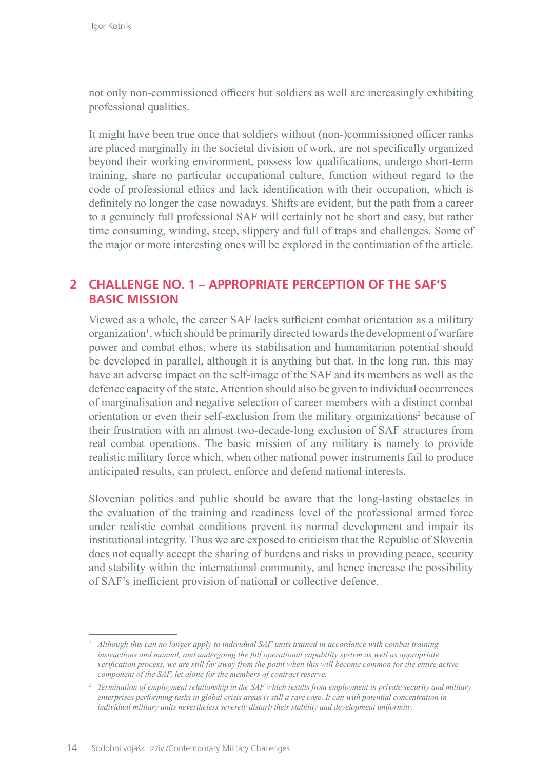not only non-commissioned officers but soldiers as well are increasingly exhibiting professional qualities.

It might have been true once that soldiers without (non-)commissioned officer ranks are placed marginally in the societal division of work, are not specifically organized beyond their working environment, possess low qualifications, undergo short-term training, share no particular occupational culture, function without regard to the code of professional ethics and lack identification with their occupation, which is definitely no longer the case nowadays. Shifts are evident, but the path from a career to a genuinely full professional SAF will certainly not be short and easy, but rather time consuming, winding, steep, slippery and full of traps and challenges. Some of the major or more interesting ones will be explored in the continuation of the article.

#### **2 CHALLENGE NO. 1 – APPROPRIATE PERCEPTION OF THE SAF'S BASIC MISSION**

Viewed as a whole, the career SAF lacks sufficient combat orientation as a military organization<sup>1</sup>, which should be primarily directed towards the development of warfare power and combat ethos, where its stabilisation and humanitarian potential should be developed in parallel, although it is anything but that. In the long run, this may have an adverse impact on the self-image of the SAF and its members as well as the defence capacity of the state. Attention should also be given to individual occurrences of marginalisation and negative selection of career members with a distinct combat orientation or even their self-exclusion from the military organizations<sup>2</sup> because of their frustration with an almost two-decade-long exclusion of SAF structures from real combat operations. The basic mission of any military is namely to provide realistic military force which, when other national power instruments fail to produce anticipated results, can protect, enforce and defend national interests.

Slovenian politics and public should be aware that the long-lasting obstacles in the evaluation of the training and readiness level of the professional armed force under realistic combat conditions prevent its normal development and impair its institutional integrity. Thus we are exposed to criticism that the Republic of Slovenia does not equally accept the sharing of burdens and risks in providing peace, security and stability within the international community, and hence increase the possibility of SAF's inefficient provision of national or collective defence.

*<sup>1</sup> Although this can no longer apply to individual SAF units trained in accordance with combat training instructions and manual, and undergoing the full operational capability system as well as appropriate verification process, we are still far away from the point when this will become common for the entire active component of the SAF, let alone for the members of contract reserve.* 

*<sup>2</sup> Termination of employment relationship in the SAF which results from employment in private security and military*  enterprises performing tasks in global crisis areas is still a rare case. It can with potential concentration in *individual military units nevertheless severely disturb their stability and development uniformity.*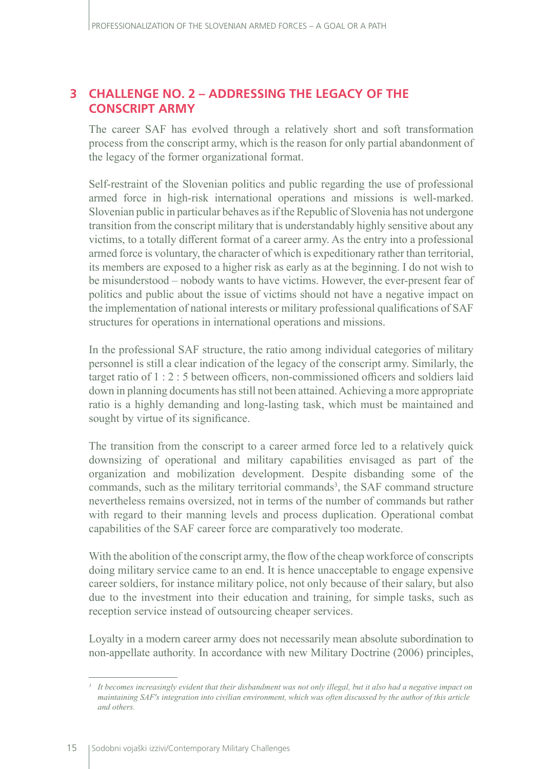### **3 CHALLENGE NO. 2 – ADDRESSING THE LEGACY OF THE CONSCRIPT ARMY**

The career SAF has evolved through a relatively short and soft transformation process from the conscript army, which is the reason for only partial abandonment of the legacy of the former organizational format.

Self-restraint of the Slovenian politics and public regarding the use of professional armed force in high-risk international operations and missions is well-marked. Slovenian public in particular behaves as if the Republic of Slovenia has not undergone transition from the conscript military that is understandably highly sensitive about any victims, to a totally different format of a career army. As the entry into a professional armed force is voluntary, the character of which is expeditionary rather than territorial, its members are exposed to a higher risk as early as at the beginning. I do not wish to be misunderstood – nobody wants to have victims. However, the ever-present fear of politics and public about the issue of victims should not have a negative impact on the implementation of national interests or military professional qualifications of SAF structures for operations in international operations and missions.

In the professional SAF structure, the ratio among individual categories of military personnel is still a clear indication of the legacy of the conscript army. Similarly, the target ratio of 1 : 2 : 5 between officers, non-commissioned officers and soldiers laid down in planning documents has still not been attained. Achieving a more appropriate ratio is a highly demanding and long-lasting task, which must be maintained and sought by virtue of its significance.

The transition from the conscript to a career armed force led to a relatively quick downsizing of operational and military capabilities envisaged as part of the organization and mobilization development. Despite disbanding some of the commands, such as the military territorial commands<sup>3</sup>, the SAF command structure nevertheless remains oversized, not in terms of the number of commands but rather with regard to their manning levels and process duplication. Operational combat capabilities of the SAF career force are comparatively too moderate.

With the abolition of the conscript army, the flow of the cheap workforce of conscripts doing military service came to an end. It is hence unacceptable to engage expensive career soldiers, for instance military police, not only because of their salary, but also due to the investment into their education and training, for simple tasks, such as reception service instead of outsourcing cheaper services.

Loyalty in a modern career army does not necessarily mean absolute subordination to non-appellate authority. In accordance with new Military Doctrine (2006) principles,

<sup>&</sup>lt;sup>3</sup> It becomes increasingly evident that their disbandment was not only illegal, but it also had a negative impact on *maintaining SAF's integration into civilian environment, which was often discussed by the author of this article and others.*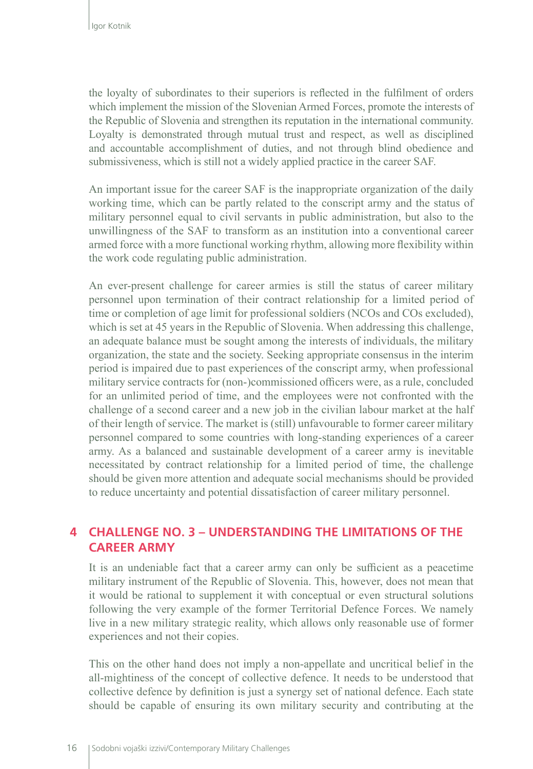the loyalty of subordinates to their superiors is reflected in the fulfilment of orders which implement the mission of the Slovenian Armed Forces, promote the interests of the Republic of Slovenia and strengthen its reputation in the international community. Loyalty is demonstrated through mutual trust and respect, as well as disciplined and accountable accomplishment of duties, and not through blind obedience and submissiveness, which is still not a widely applied practice in the career SAF.

An important issue for the career SAF is the inappropriate organization of the daily working time, which can be partly related to the conscript army and the status of military personnel equal to civil servants in public administration, but also to the unwillingness of the SAF to transform as an institution into a conventional career armed force with a more functional working rhythm, allowing more flexibility within the work code regulating public administration.

An ever-present challenge for career armies is still the status of career military personnel upon termination of their contract relationship for a limited period of time or completion of age limit for professional soldiers (NCOs and COs excluded), which is set at 45 years in the Republic of Slovenia. When addressing this challenge, an adequate balance must be sought among the interests of individuals, the military organization, the state and the society. Seeking appropriate consensus in the interim period is impaired due to past experiences of the conscript army, when professional military service contracts for (non-)commissioned officers were, as a rule, concluded for an unlimited period of time, and the employees were not confronted with the challenge of a second career and a new job in the civilian labour market at the half of their length of service. The market is (still) unfavourable to former career military personnel compared to some countries with long-standing experiences of a career army. As a balanced and sustainable development of a career army is inevitable necessitated by contract relationship for a limited period of time, the challenge should be given more attention and adequate social mechanisms should be provided to reduce uncertainty and potential dissatisfaction of career military personnel.

#### **4 CHALLENGE NO. 3 – UNDERSTANDING THE LIMITATIONS OF THE CAREER ARMY**

It is an undeniable fact that a career army can only be sufficient as a peacetime military instrument of the Republic of Slovenia. This, however, does not mean that it would be rational to supplement it with conceptual or even structural solutions following the very example of the former Territorial Defence Forces. We namely live in a new military strategic reality, which allows only reasonable use of former experiences and not their copies.

This on the other hand does not imply a non-appellate and uncritical belief in the all-mightiness of the concept of collective defence. It needs to be understood that collective defence by definition is just a synergy set of national defence. Each state should be capable of ensuring its own military security and contributing at the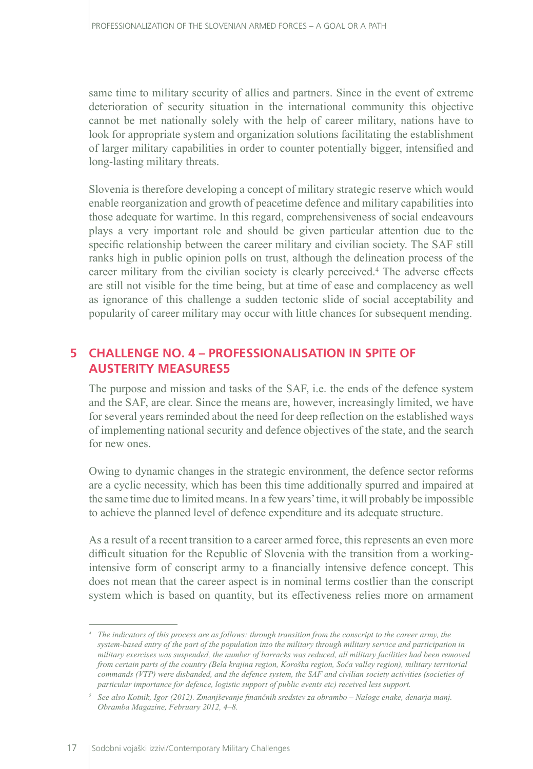same time to military security of allies and partners. Since in the event of extreme deterioration of security situation in the international community this objective cannot be met nationally solely with the help of career military, nations have to look for appropriate system and organization solutions facilitating the establishment of larger military capabilities in order to counter potentially bigger, intensified and long-lasting military threats.

Slovenia is therefore developing a concept of military strategic reserve which would enable reorganization and growth of peacetime defence and military capabilities into those adequate for wartime. In this regard, comprehensiveness of social endeavours plays a very important role and should be given particular attention due to the specific relationship between the career military and civilian society. The SAF still ranks high in public opinion polls on trust, although the delineation process of the career military from the civilian society is clearly perceived.<sup>4</sup> The adverse effects are still not visible for the time being, but at time of ease and complacency as well as ignorance of this challenge a sudden tectonic slide of social acceptability and popularity of career military may occur with little chances for subsequent mending.

#### **5 CHALLENGE NO. 4 – PROFESSIONALISATION IN SPITE OF AUSTERITY MEASURES5**

The purpose and mission and tasks of the SAF, i.e. the ends of the defence system and the SAF, are clear. Since the means are, however, increasingly limited, we have for several years reminded about the need for deep reflection on the established ways of implementing national security and defence objectives of the state, and the search for new ones.

Owing to dynamic changes in the strategic environment, the defence sector reforms are a cyclic necessity, which has been this time additionally spurred and impaired at the same time due to limited means. In a few years' time, it will probably be impossible to achieve the planned level of defence expenditure and its adequate structure.

As a result of a recent transition to a career armed force, this represents an even more difficult situation for the Republic of Slovenia with the transition from a workingintensive form of conscript army to a financially intensive defence concept. This does not mean that the career aspect is in nominal terms costlier than the conscript system which is based on quantity, but its effectiveness relies more on armament

*<sup>4</sup> The indicators of this process are as follows: through transition from the conscript to the career army, the system-based entry of the part of the population into the military through military service and participation in military exercises was suspended, the number of barracks was reduced, all military facilities had been removed from certain parts of the country (Bela krajina region, Koroška region, Soča valley region), military territorial commands (VTP) were disbanded, and the defence system, the SAF and civilian society activities (societies of particular importance for defence, logistic support of public events etc) received less support.*

*<sup>5</sup> See also Kotnik, Igor (2012). Zmanjševanje finančnih sredstev za obrambo – Naloge enake, denarja manj. Obramba Magazine, February 2012, 4–8.*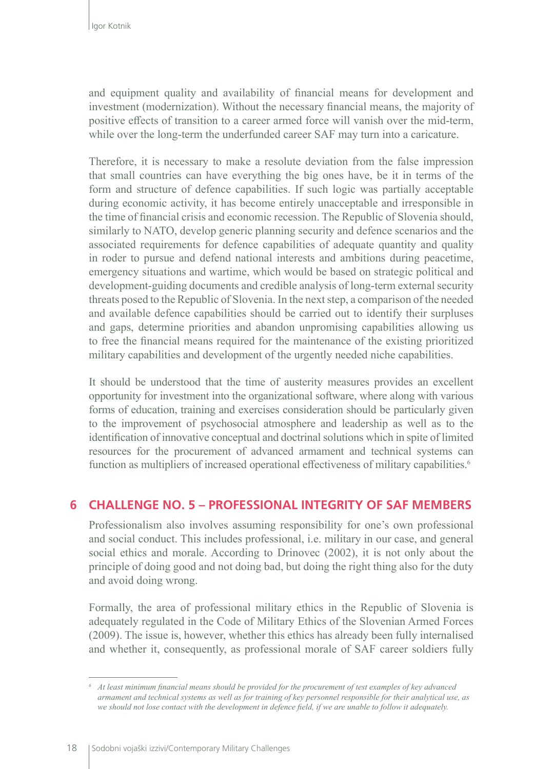and equipment quality and availability of financial means for development and investment (modernization). Without the necessary financial means, the majority of positive effects of transition to a career armed force will vanish over the mid-term, while over the long-term the underfunded career SAF may turn into a caricature.

Therefore, it is necessary to make a resolute deviation from the false impression that small countries can have everything the big ones have, be it in terms of the form and structure of defence capabilities. If such logic was partially acceptable during economic activity, it has become entirely unacceptable and irresponsible in the time of financial crisis and economic recession. The Republic of Slovenia should, similarly to NATO, develop generic planning security and defence scenarios and the associated requirements for defence capabilities of adequate quantity and quality in roder to pursue and defend national interests and ambitions during peacetime, emergency situations and wartime, which would be based on strategic political and development-guiding documents and credible analysis of long-term external security threats posed to the Republic of Slovenia. In the next step, a comparison of the needed and available defence capabilities should be carried out to identify their surpluses and gaps, determine priorities and abandon unpromising capabilities allowing us to free the financial means required for the maintenance of the existing prioritized military capabilities and development of the urgently needed niche capabilities.

It should be understood that the time of austerity measures provides an excellent opportunity for investment into the organizational software, where along with various forms of education, training and exercises consideration should be particularly given to the improvement of psychosocial atmosphere and leadership as well as to the identification of innovative conceptual and doctrinal solutions which in spite of limited resources for the procurement of advanced armament and technical systems can function as multipliers of increased operational effectiveness of military capabilities.<sup>6</sup>

#### **6 CHALLENGE NO. 5 – PROFESSIONAL INTEGRITY OF SAF MEMBERS**

Professionalism also involves assuming responsibility for one's own professional and social conduct. This includes professional, i.e. military in our case, and general social ethics and morale. According to Drinovec (2002), it is not only about the principle of doing good and not doing bad, but doing the right thing also for the duty and avoid doing wrong.

Formally, the area of professional military ethics in the Republic of Slovenia is adequately regulated in the Code of Military Ethics of the Slovenian Armed Forces (2009). The issue is, however, whether this ethics has already been fully internalised and whether it, consequently, as professional morale of SAF career soldiers fully

*<sup>6</sup> At least minimum financial means should be provided for the procurement of test examples of key advanced armament and technical systems as well as for training of key personnel responsible for their analytical use, as we should not lose contact with the development in defence field, if we are unable to follow it adequately.*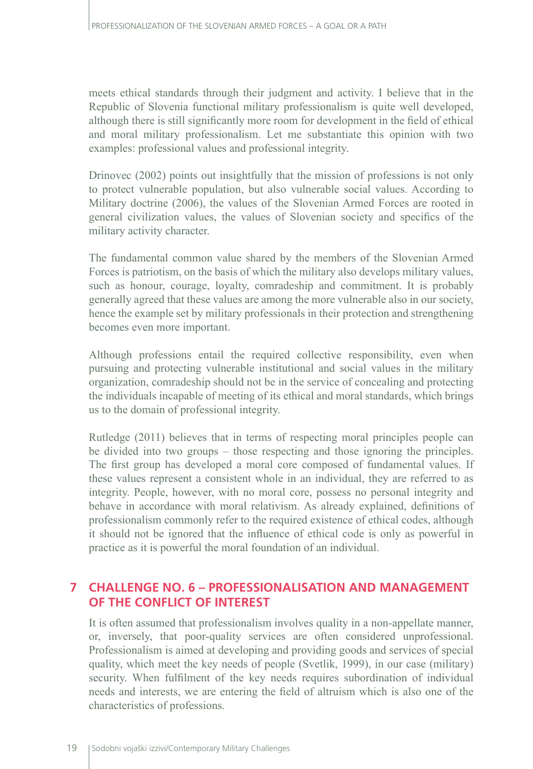meets ethical standards through their judgment and activity. I believe that in the Republic of Slovenia functional military professionalism is quite well developed, although there is still significantly more room for development in the field of ethical and moral military professionalism. Let me substantiate this opinion with two examples: professional values and professional integrity.

Drinovec (2002) points out insightfully that the mission of professions is not only to protect vulnerable population, but also vulnerable social values. According to Military doctrine (2006), the values of the Slovenian Armed Forces are rooted in general civilization values, the values of Slovenian society and specifics of the military activity character.

The fundamental common value shared by the members of the Slovenian Armed Forces is patriotism, on the basis of which the military also develops military values, such as honour, courage, loyalty, comradeship and commitment. It is probably generally agreed that these values are among the more vulnerable also in our society, hence the example set by military professionals in their protection and strengthening becomes even more important.

Although professions entail the required collective responsibility, even when pursuing and protecting vulnerable institutional and social values in the military organization, comradeship should not be in the service of concealing and protecting the individuals incapable of meeting of its ethical and moral standards, which brings us to the domain of professional integrity.

Rutledge (2011) believes that in terms of respecting moral principles people can be divided into two groups – those respecting and those ignoring the principles. The first group has developed a moral core composed of fundamental values. If these values represent a consistent whole in an individual, they are referred to as integrity. People, however, with no moral core, possess no personal integrity and behave in accordance with moral relativism. As already explained, definitions of professionalism commonly refer to the required existence of ethical codes, although it should not be ignored that the influence of ethical code is only as powerful in practice as it is powerful the moral foundation of an individual.

## **7 CHALLENGE NO. 6 – PROFESSIONALISATION AND MANAGEMENT OF THE CONFLICT OF INTEREST**

It is often assumed that professionalism involves quality in a non-appellate manner, or, inversely, that poor-quality services are often considered unprofessional. Professionalism is aimed at developing and providing goods and services of special quality, which meet the key needs of people (Svetlik, 1999), in our case (military) security. When fulfilment of the key needs requires subordination of individual needs and interests, we are entering the field of altruism which is also one of the characteristics of professions.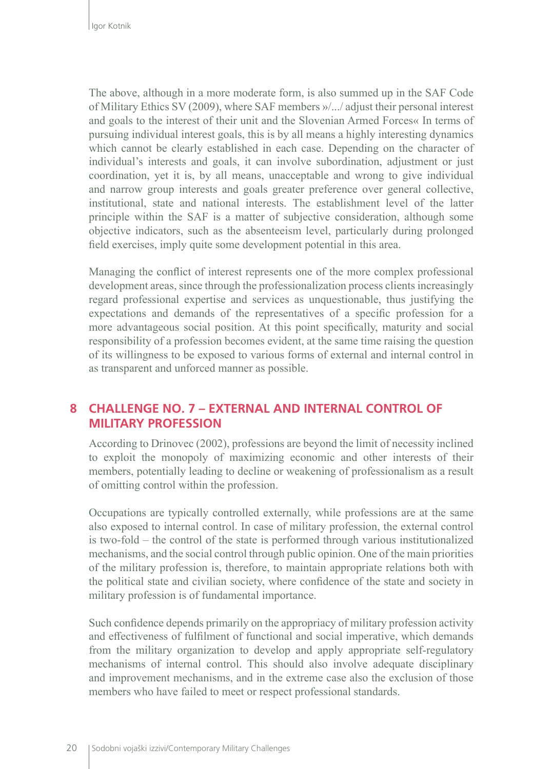The above, although in a more moderate form, is also summed up in the SAF Code of Military Ethics SV (2009), where SAF members »/.../ adjust their personal interest and goals to the interest of their unit and the Slovenian Armed Forces« In terms of pursuing individual interest goals, this is by all means a highly interesting dynamics which cannot be clearly established in each case. Depending on the character of individual's interests and goals, it can involve subordination, adjustment or just coordination, yet it is, by all means, unacceptable and wrong to give individual and narrow group interests and goals greater preference over general collective, institutional, state and national interests. The establishment level of the latter principle within the SAF is a matter of subjective consideration, although some objective indicators, such as the absenteeism level, particularly during prolonged field exercises, imply quite some development potential in this area.

Managing the conflict of interest represents one of the more complex professional development areas, since through the professionalization process clients increasingly regard professional expertise and services as unquestionable, thus justifying the expectations and demands of the representatives of a specific profession for a more advantageous social position. At this point specifically, maturity and social responsibility of a profession becomes evident, at the same time raising the question of its willingness to be exposed to various forms of external and internal control in as transparent and unforced manner as possible.

#### **8 CHALLENGE NO. 7 – EXTERNAL AND INTERNAL CONTROL OF MILITARY PROFESSION**

According to Drinovec (2002), professions are beyond the limit of necessity inclined to exploit the monopoly of maximizing economic and other interests of their members, potentially leading to decline or weakening of professionalism as a result of omitting control within the profession.

Occupations are typically controlled externally, while professions are at the same also exposed to internal control. In case of military profession, the external control is two-fold – the control of the state is performed through various institutionalized mechanisms, and the social control through public opinion. One of the main priorities of the military profession is, therefore, to maintain appropriate relations both with the political state and civilian society, where confidence of the state and society in military profession is of fundamental importance.

Such confidence depends primarily on the appropriacy of military profession activity and effectiveness of fulfilment of functional and social imperative, which demands from the military organization to develop and apply appropriate self-regulatory mechanisms of internal control. This should also involve adequate disciplinary and improvement mechanisms, and in the extreme case also the exclusion of those members who have failed to meet or respect professional standards.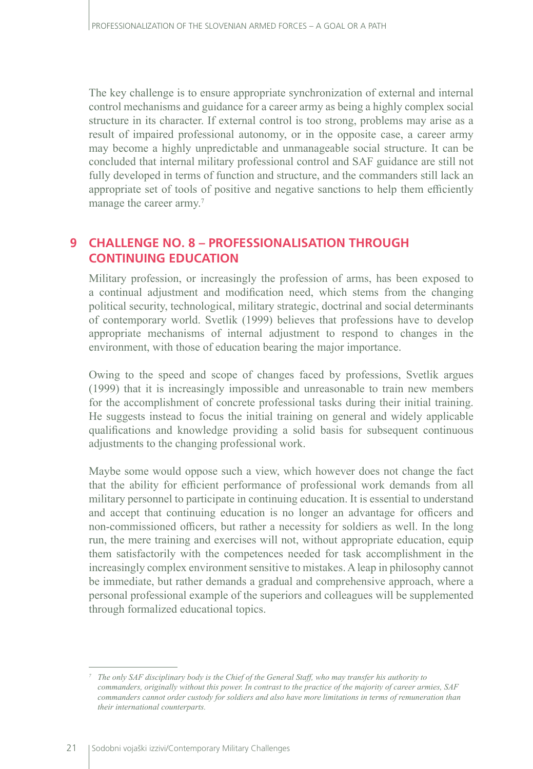The key challenge is to ensure appropriate synchronization of external and internal control mechanisms and guidance for a career army as being a highly complex social structure in its character. If external control is too strong, problems may arise as a result of impaired professional autonomy, or in the opposite case, a career army may become a highly unpredictable and unmanageable social structure. It can be concluded that internal military professional control and SAF guidance are still not fully developed in terms of function and structure, and the commanders still lack an appropriate set of tools of positive and negative sanctions to help them efficiently manage the career army.<sup>7</sup>

#### **9 CHALLENGE NO. 8 – PROFESSIONALISATION THROUGH CONTINUING EDUCATION**

Military profession, or increasingly the profession of arms, has been exposed to a continual adjustment and modification need, which stems from the changing political security, technological, military strategic, doctrinal and social determinants of contemporary world. Svetlik (1999) believes that professions have to develop appropriate mechanisms of internal adjustment to respond to changes in the environment, with those of education bearing the major importance.

Owing to the speed and scope of changes faced by professions, Svetlik argues (1999) that it is increasingly impossible and unreasonable to train new members for the accomplishment of concrete professional tasks during their initial training. He suggests instead to focus the initial training on general and widely applicable qualifications and knowledge providing a solid basis for subsequent continuous adjustments to the changing professional work.

Maybe some would oppose such a view, which however does not change the fact that the ability for efficient performance of professional work demands from all military personnel to participate in continuing education. It is essential to understand and accept that continuing education is no longer an advantage for officers and non-commissioned officers, but rather a necessity for soldiers as well. In the long run, the mere training and exercises will not, without appropriate education, equip them satisfactorily with the competences needed for task accomplishment in the increasingly complex environment sensitive to mistakes. A leap in philosophy cannot be immediate, but rather demands a gradual and comprehensive approach, where a personal professional example of the superiors and colleagues will be supplemented through formalized educational topics.

*<sup>7</sup> The only SAF disciplinary body is the Chief of the General Staff, who may transfer his authority to commanders, originally without this power. In contrast to the practice of the majority of career armies, SAF commanders cannot order custody for soldiers and also have more limitations in terms of remuneration than their international counterparts.*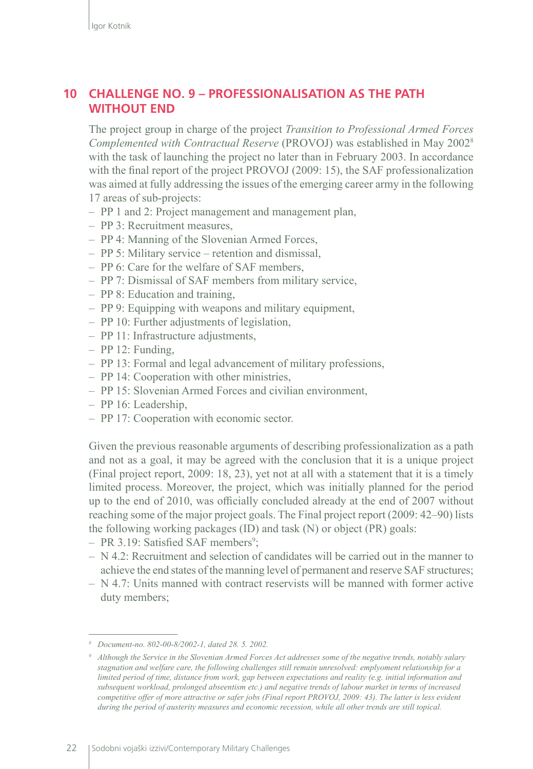### **10 CHALLENGE NO. 9 – PROFESSIONALISATION AS THE PATH WITHOUT END**

The project group in charge of the project *Transition to Professional Armed Forces Complemented with Contractual Reserve* (PROVOJ) was established in May 2002<sup>8</sup> with the task of launching the project no later than in February 2003. In accordance with the final report of the project PROVOJ (2009: 15), the SAF professionalization was aimed at fully addressing the issues of the emerging career army in the following 17 areas of sub-projects:

- PP 1 and 2: Project management and management plan,
- PP 3: Recruitment measures,
- PP 4: Manning of the Slovenian Armed Forces,
- PP 5: Military service retention and dismissal,
- PP 6: Care for the welfare of SAF members,
- PP 7: Dismissal of SAF members from military service,
- PP 8: Education and training,
- PP 9: Equipping with weapons and military equipment,
- PP 10: Further adjustments of legislation,
- PP 11: Infrastructure adjustments,
- PP 12: Funding,
- PP 13: Formal and legal advancement of military professions,
- PP 14: Cooperation with other ministries,
- PP 15: Slovenian Armed Forces and civilian environment,
- PP 16: Leadership,
- PP 17: Cooperation with economic sector.

Given the previous reasonable arguments of describing professionalization as a path and not as a goal, it may be agreed with the conclusion that it is a unique project (Final project report, 2009: 18, 23), yet not at all with a statement that it is a timely limited process. Moreover, the project, which was initially planned for the period up to the end of 2010, was officially concluded already at the end of 2007 without reaching some of the major project goals. The Final project report (2009: 42–90) lists the following working packages (ID) and task (N) or object (PR) goals:

- PR 3.19: Satisfied SAF members<sup>9</sup>;
- $N 4.2$ : Recruitment and selection of candidates will be carried out in the manner to achieve the end states of the manning level of permanent and reserve SAF structures;
- N 4.7: Units manned with contract reservists will be manned with former active duty members;

*<sup>8</sup> Document-no. 802-00-8/2002-1, dated 28. 5. 2002.*

*<sup>9</sup> Although the Service in the Slovenian Armed Forces Act addresses some of the negative trends, notably salary stagnation and welfare care, the following challenges still remain unresolved: emplyoment relationship for a limited period of time, distance from work, gap between expectations and reality (e.g. initial information and subsequent workload, prolonged abseentism etc.) and negative trends of labour market in terms of increased competitive offer of more attractive or safer jobs (Final report PROVOJ, 2009: 43). The latter is less evident during the period of austerity measures and economic recession, while all other trends are still topical.*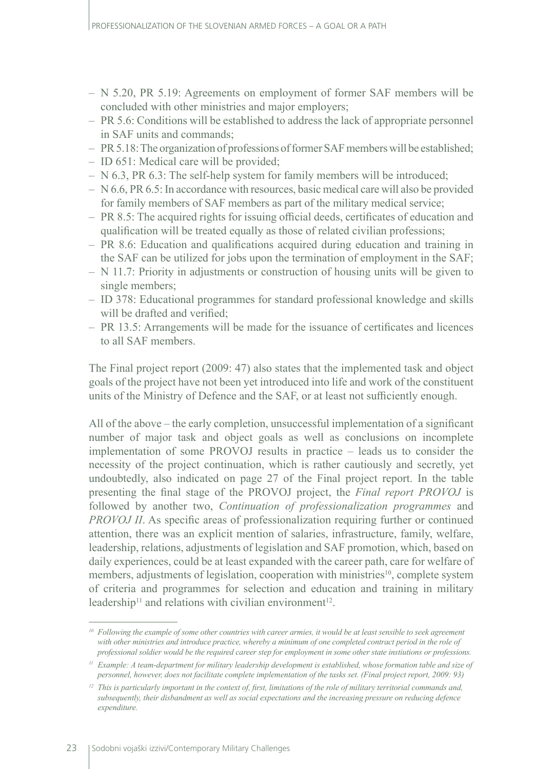- N 5.20, PR 5.19: Agreements on employment of former SAF members will be concluded with other ministries and major employers;
- PR 5.6: Conditions will be established to address the lack of appropriate personnel in SAF units and commands;
- PR 5.18: The organization of professions of former SAF members will be established;
- ID 651: Medical care will be provided;
- N 6.3, PR 6.3: The self-help system for family members will be introduced;
- N 6.6, PR 6.5: In accordance with resources, basic medical care will also be provided for family members of SAF members as part of the military medical service;
- PR 8.5: The acquired rights for issuing official deeds, certificates of education and qualification will be treated equally as those of related civilian professions;
- PR 8.6: Education and qualifications acquired during education and training in the SAF can be utilized for jobs upon the termination of employment in the SAF;
- N 11.7: Priority in adjustments or construction of housing units will be given to single members;
- ID 378: Educational programmes for standard professional knowledge and skills will be drafted and verified;
- PR 13.5: Arrangements will be made for the issuance of certificates and licences to all SAF members.

The Final project report (2009: 47) also states that the implemented task and object goals of the project have not been yet introduced into life and work of the constituent units of the Ministry of Defence and the SAF, or at least not sufficiently enough.

All of the above – the early completion, unsuccessful implementation of a significant number of major task and object goals as well as conclusions on incomplete implementation of some PROVOJ results in practice – leads us to consider the necessity of the project continuation, which is rather cautiously and secretly, yet undoubtedly, also indicated on page 27 of the Final project report. In the table presenting the final stage of the PROVOJ project, the *Final report PROVOJ* is followed by another two, *Continuation of professionalization programmes* and *PROVOJ II*. As specific areas of professionalization requiring further or continued attention, there was an explicit mention of salaries, infrastructure, family, welfare, leadership, relations, adjustments of legislation and SAF promotion, which, based on daily experiences, could be at least expanded with the career path, care for welfare of members, adjustments of legislation, cooperation with ministries<sup>10</sup>, complete system of criteria and programmes for selection and education and training in military leadership<sup>11</sup> and relations with civilian environment<sup>12</sup>.

*<sup>10</sup> Following the example of some other countries with career armies, it would be at least sensible to seek agreement*  with other ministries and introduce practice, whereby a minimum of one completed contract period in the role of *professional soldier would be the required career step for employment in some other state instiutions or professions.*

*<sup>11</sup> Example: A team-department for military leadership development is established, whose formation table and size of personnel, however, does not facilitate complete implementation of the tasks set. (Final project report, 2009: 93)*

*<sup>12</sup> This is particularly important in the context of, first, limitations of the role of military territorial commands and, subsequently, their disbandment as well as social expectations and the increasing pressure on reducing defence expenditure.*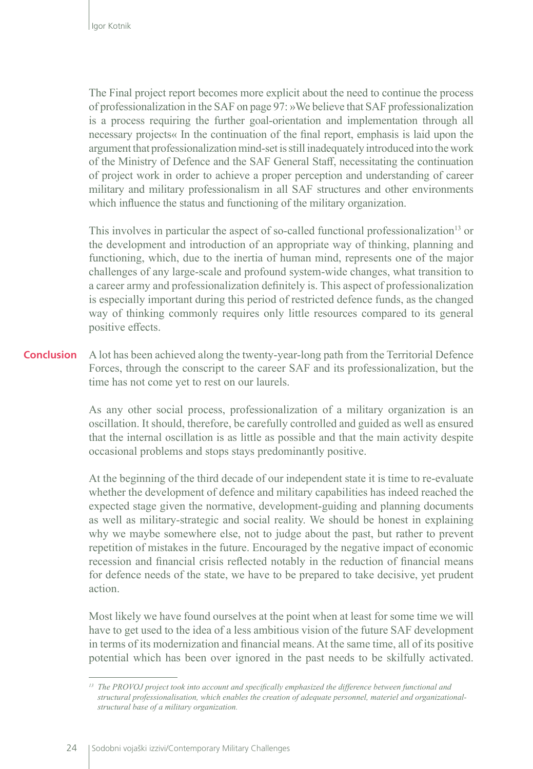The Final project report becomes more explicit about the need to continue the process of professionalization in the SAF on page 97: »We believe that SAF professionalization is a process requiring the further goal-orientation and implementation through all necessary projects« In the continuation of the final report, emphasis is laid upon the argument that professionalization mind-set is still inadequately introduced into the work of the Ministry of Defence and the SAF General Staff, necessitating the continuation of project work in order to achieve a proper perception and understanding of career military and military professionalism in all SAF structures and other environments which influence the status and functioning of the military organization.

This involves in particular the aspect of so-called functional professionalization<sup>13</sup> or the development and introduction of an appropriate way of thinking, planning and functioning, which, due to the inertia of human mind, represents one of the major challenges of any large-scale and profound system-wide changes, what transition to a career army and professionalization definitely is. This aspect of professionalization is especially important during this period of restricted defence funds, as the changed way of thinking commonly requires only little resources compared to its general positive effects.

A lot has been achieved along the twenty-year-long path from the Territorial Defence Forces, through the conscript to the career SAF and its professionalization, but the time has not come yet to rest on our laurels. **Conclusion**

> As any other social process, professionalization of a military organization is an oscillation. It should, therefore, be carefully controlled and guided as well as ensured that the internal oscillation is as little as possible and that the main activity despite occasional problems and stops stays predominantly positive.

> At the beginning of the third decade of our independent state it is time to re-evaluate whether the development of defence and military capabilities has indeed reached the expected stage given the normative, development-guiding and planning documents as well as military-strategic and social reality. We should be honest in explaining why we maybe somewhere else, not to judge about the past, but rather to prevent repetition of mistakes in the future. Encouraged by the negative impact of economic recession and financial crisis reflected notably in the reduction of financial means for defence needs of the state, we have to be prepared to take decisive, yet prudent action.

> Most likely we have found ourselves at the point when at least for some time we will have to get used to the idea of a less ambitious vision of the future SAF development in terms of its modernization and financial means. At the same time, all of its positive potential which has been over ignored in the past needs to be skilfully activated.

*<sup>13</sup> The PROVOJ project took into account and specifically emphasized the difference between functional and structural professionalisation, which enables the creation of adequate personnel, materiel and organizationalstructural base of a military organization.*